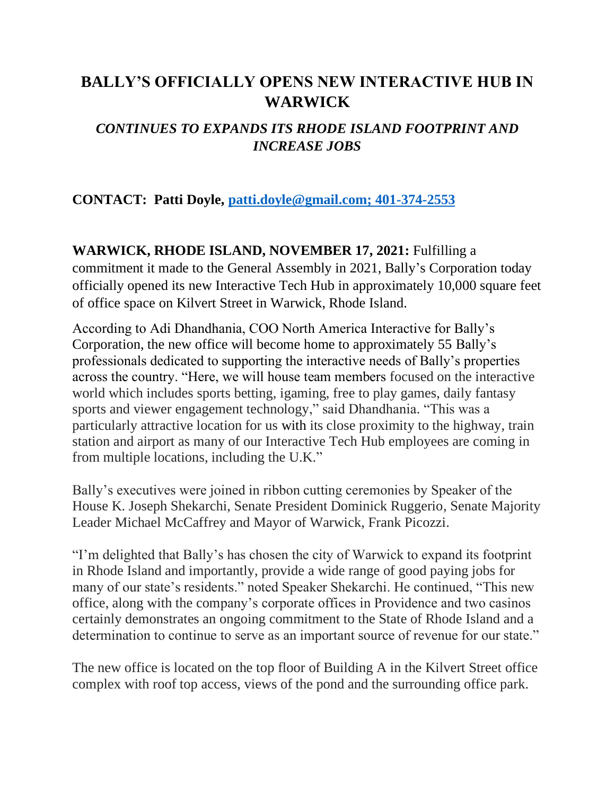# **BALLY'S OFFICIALLY OPENS NEW INTERACTIVE HUB IN WARWICK**

## *CONTINUES TO EXPANDS ITS RHODE ISLAND FOOTPRINT AND INCREASE JOBS*

### **CONTACT: Patti Doyle, [patti.doyle@gmail.com; 401-374-2553](mailto:patti.doyle@gmail.com;%20401-374-2553)**

### **WARWICK, RHODE ISLAND, NOVEMBER 17, 2021:** Fulfilling a

commitment it made to the General Assembly in 2021, Bally's Corporation today officially opened its new Interactive Tech Hub in approximately 10,000 square feet of office space on Kilvert Street in Warwick, Rhode Island.

According to Adi Dhandhania, COO North America Interactive for Bally's Corporation, the new office will become home to approximately 55 Bally's professionals dedicated to supporting the interactive needs of Bally's properties across the country. "Here, we will house team members focused on the interactive world which includes sports betting, igaming, free to play games, daily fantasy sports and viewer engagement technology," said Dhandhania. "This was a particularly attractive location for us with its close proximity to the highway, train station and airport as many of our Interactive Tech Hub employees are coming in from multiple locations, including the U.K."

Bally's executives were joined in ribbon cutting ceremonies by Speaker of the House K. Joseph Shekarchi, Senate President Dominick Ruggerio, Senate Majority Leader Michael McCaffrey and Mayor of Warwick, Frank Picozzi.

"I'm delighted that Bally's has chosen the city of Warwick to expand its footprint in Rhode Island and importantly, provide a wide range of good paying jobs for many of our state's residents." noted Speaker Shekarchi. He continued, "This new office, along with the company's corporate offices in Providence and two casinos certainly demonstrates an ongoing commitment to the State of Rhode Island and a determination to continue to serve as an important source of revenue for our state."

The new office is located on the top floor of Building A in the Kilvert Street office complex with roof top access, views of the pond and the surrounding office park.